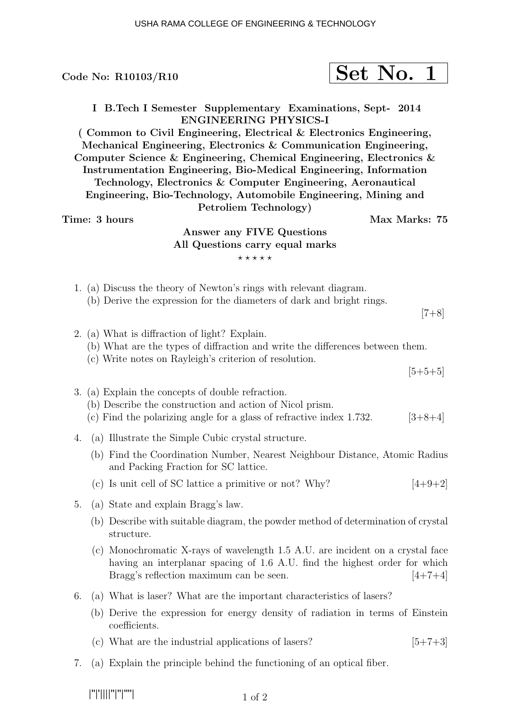|                                                                                                                                                                                                                                                                                                                                                                                                                                                                                                                                                                                                               |  | Code No: $R10103/R10$                                                                                                                                                                                   |  | Set No. 1 |               |
|---------------------------------------------------------------------------------------------------------------------------------------------------------------------------------------------------------------------------------------------------------------------------------------------------------------------------------------------------------------------------------------------------------------------------------------------------------------------------------------------------------------------------------------------------------------------------------------------------------------|--|---------------------------------------------------------------------------------------------------------------------------------------------------------------------------------------------------------|--|-----------|---------------|
| I B. Tech I Semester Supplementary Examinations, Sept- 2014<br><b>ENGINEERING PHYSICS-I</b><br>(Common to Civil Engineering, Electrical & Electronics Engineering,<br>Mechanical Engineering, Electronics & Communication Engineering,<br>Computer Science & Engineering, Chemical Engineering, Electronics &<br>Instrumentation Engineering, Bio-Medical Engineering, Information<br>Technology, Electronics & Computer Engineering, Aeronautical<br>Engineering, Bio-Technology, Automobile Engineering, Mining and<br>Petroliem Technology)<br>Time: 3 hours<br>Max Marks: 75<br>Answer any FIVE Questions |  |                                                                                                                                                                                                         |  |           |               |
| All Questions carry equal marks                                                                                                                                                                                                                                                                                                                                                                                                                                                                                                                                                                               |  |                                                                                                                                                                                                         |  |           |               |
| *****                                                                                                                                                                                                                                                                                                                                                                                                                                                                                                                                                                                                         |  |                                                                                                                                                                                                         |  |           |               |
|                                                                                                                                                                                                                                                                                                                                                                                                                                                                                                                                                                                                               |  | 1. (a) Discuss the theory of Newton's rings with relevant diagram.<br>(b) Derive the expression for the diameters of dark and bright rings.                                                             |  |           | $[7+8]$       |
|                                                                                                                                                                                                                                                                                                                                                                                                                                                                                                                                                                                                               |  | 2. (a) What is diffraction of light? Explain.<br>(b) What are the types of diffraction and write the differences between them.<br>(c) Write notes on Rayleigh's criterion of resolution.                |  |           |               |
|                                                                                                                                                                                                                                                                                                                                                                                                                                                                                                                                                                                                               |  |                                                                                                                                                                                                         |  |           | $[5+5+5]$     |
|                                                                                                                                                                                                                                                                                                                                                                                                                                                                                                                                                                                                               |  | 3. (a) Explain the concepts of double refraction.<br>(b) Describe the construction and action of Nicol prism.<br>(c) Find the polarizing angle for a glass of refractive index $1.732$ .                |  |           | $[3+8+4]$     |
| 4.                                                                                                                                                                                                                                                                                                                                                                                                                                                                                                                                                                                                            |  | (a) Illustrate the Simple Cubic crystal structure.                                                                                                                                                      |  |           |               |
|                                                                                                                                                                                                                                                                                                                                                                                                                                                                                                                                                                                                               |  | (b) Find the Coordination Number, Nearest Neighbour Distance, Atomic Radius<br>and Packing Fraction for SC lattice.                                                                                     |  |           |               |
|                                                                                                                                                                                                                                                                                                                                                                                                                                                                                                                                                                                                               |  | (c) Is unit cell of SC lattice a primitive or not? Why?                                                                                                                                                 |  |           | $[4+9+2]$     |
| 5.                                                                                                                                                                                                                                                                                                                                                                                                                                                                                                                                                                                                            |  | (a) State and explain Bragg's law.                                                                                                                                                                      |  |           |               |
|                                                                                                                                                                                                                                                                                                                                                                                                                                                                                                                                                                                                               |  | (b) Describe with suitable diagram, the powder method of determination of crystal<br>structure.                                                                                                         |  |           |               |
|                                                                                                                                                                                                                                                                                                                                                                                                                                                                                                                                                                                                               |  | (c) Monochromatic X-rays of wavelength 1.5 A.U. are incident on a crystal face<br>having an interplanar spacing of 1.6 A.U. find the highest order for which<br>Bragg's reflection maximum can be seen. |  |           | $[4 + 7 + 4]$ |
| 6.                                                                                                                                                                                                                                                                                                                                                                                                                                                                                                                                                                                                            |  | (a) What is laser? What are the important characteristics of lasers?                                                                                                                                    |  |           |               |
|                                                                                                                                                                                                                                                                                                                                                                                                                                                                                                                                                                                                               |  | (b) Derive the expression for energy density of radiation in terms of Einstein<br>coefficients.                                                                                                         |  |           |               |
|                                                                                                                                                                                                                                                                                                                                                                                                                                                                                                                                                                                                               |  | (c) What are the industrial applications of lasers?                                                                                                                                                     |  |           | $[5+7+3]$     |
| 7.                                                                                                                                                                                                                                                                                                                                                                                                                                                                                                                                                                                                            |  | (a) Explain the principle behind the functioning of an optical fiber.                                                                                                                                   |  |           |               |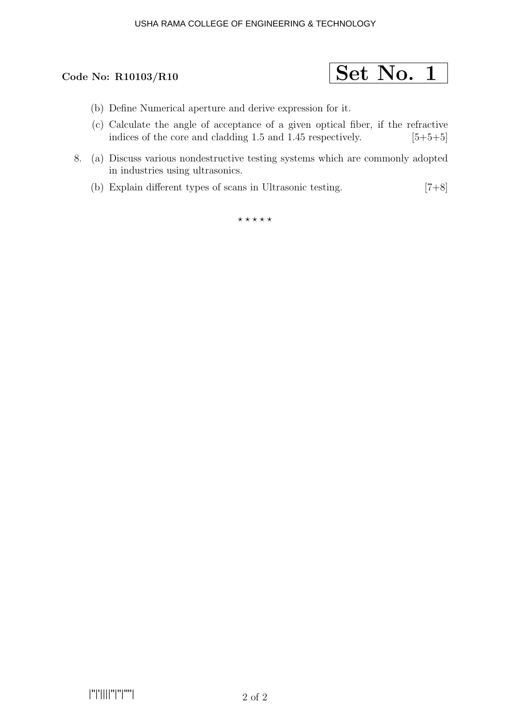

- (b) Define Numerical aperture and derive expression for it.
- (c) Calculate the angle of acceptance of a given optical fiber, if the refractive indices of the core and cladding 1.5 and 1.45 respectively.  $[5+5+5]$
- 8. (a) Discuss various nondestructive testing systems which are commonly adopted in industries using ultrasonics.
	- (b) Explain different types of scans in Ultrasonic testing. [7+8]

 $\star\star\star\star\star$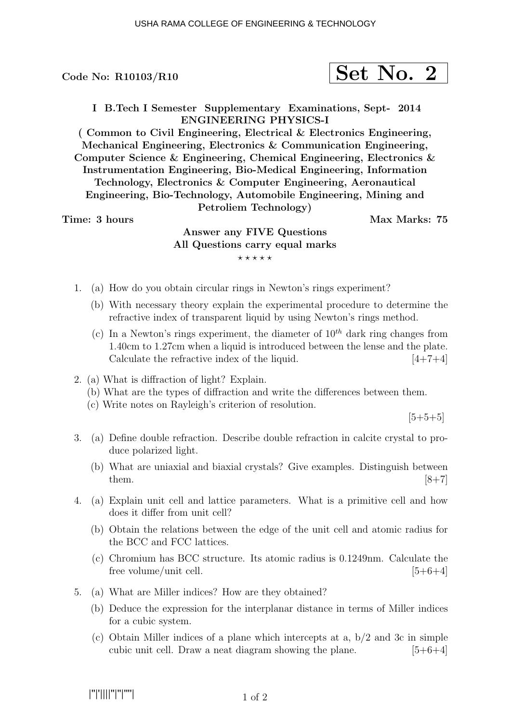Code No:  $R10103/R10$ 

$$
\fbox{Set No. 2}
$$

I B.Tech I Semester Supplementary Examinations, Sept- 2014 ENGINEERING PHYSICS-I

( Common to Civil Engineering, Electrical & Electronics Engineering, Mechanical Engineering, Electronics & Communication Engineering, Computer Science & Engineering, Chemical Engineering, Electronics & Instrumentation Engineering, Bio-Medical Engineering, Information Technology, Electronics & Computer Engineering, Aeronautical Engineering, Bio-Technology, Automobile Engineering, Mining and Petroliem Technology)

Time: 3 hours and the set of the Max Marks: 75

# Answer any FIVE Questions All Questions carry equal marks  $***$ \*\*

- 1. (a) How do you obtain circular rings in Newton's rings experiment?
	- (b) With necessary theory explain the experimental procedure to determine the refractive index of transparent liquid by using Newton's rings method.
	- (c) In a Newton's rings experiment, the diameter of  $10^{th}$  dark ring changes from 1.40cm to 1.27cm when a liquid is introduced between the lense and the plate. Calculate the refractive index of the liquid.  $[4+7+4]$
- 2. (a) What is diffraction of light? Explain.
	- (b) What are the types of diffraction and write the differences between them.
	- (c) Write notes on Rayleigh's criterion of resolution.

 $[5+5+5]$ 

- 3. (a) Define double refraction. Describe double refraction in calcite crystal to produce polarized light.
	- (b) What are uniaxial and biaxial crystals? Give examples. Distinguish between them.  $[8+7]$
- 4. (a) Explain unit cell and lattice parameters. What is a primitive cell and how does it differ from unit cell?
	- (b) Obtain the relations between the edge of the unit cell and atomic radius for the BCC and FCC lattices.
	- (c) Chromium has BCC structure. Its atomic radius is 0.1249nm. Calculate the free volume/unit cell.  $[5+6+4]$
- 5. (a) What are Miller indices? How are they obtained?
	- (b) Deduce the expression for the interplanar distance in terms of Miller indices for a cubic system.
	- (c) Obtain Miller indices of a plane which intercepts at a, b/2 and 3c in simple cubic unit cell. Draw a neat diagram showing the plane.  $[5+6+4]$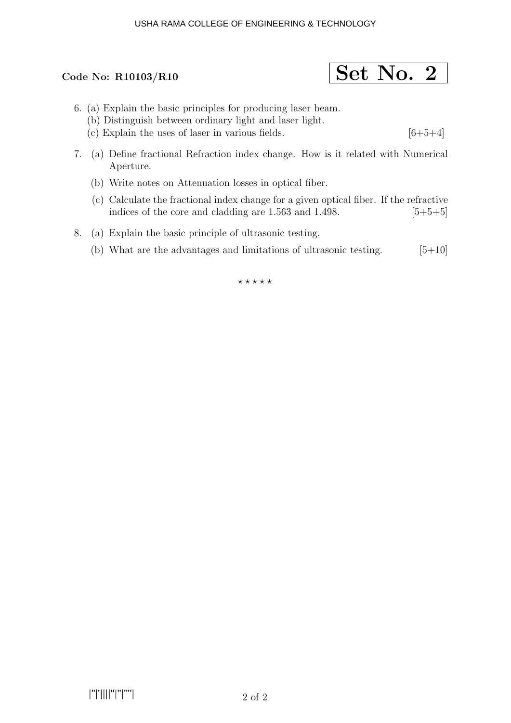# Code No: R10103/R10  $\boxed{\text{Set No. 2}}$

- 6. (a) Explain the basic principles for producing laser beam.
	- (b) Distinguish between ordinary light and laser light.
	- (c) Explain the uses of laser in various fields.  $[6+5+4]$
- 7. (a) Define fractional Refraction index change. How is it related with Numerical Aperture.
	- (b) Write notes on Attenuation losses in optical fiber.
	- (c) Calculate the fractional index change for a given optical fiber. If the refractive indices of the core and cladding are  $1.563$  and  $1.498$ .  $[5+5+5]$
- 8. (a) Explain the basic principle of ultrasonic testing.
	- (b) What are the advantages and limitations of ultrasonic testing.  $[5+10]$

 $***$ \*\*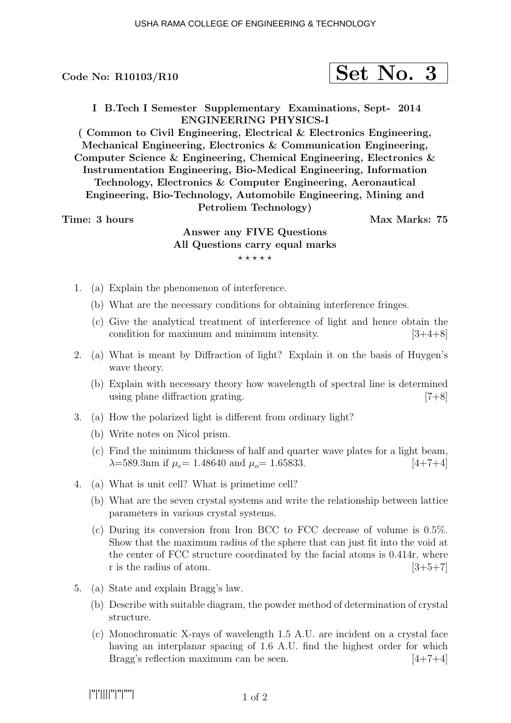Code No:  $R10103/R10$ 

$$
\fbox{Set No. 3}
$$

I B.Tech I Semester Supplementary Examinations, Sept- 2014 ENGINEERING PHYSICS-I

( Common to Civil Engineering, Electrical & Electronics Engineering, Mechanical Engineering, Electronics & Communication Engineering, Computer Science & Engineering, Chemical Engineering, Electronics & Instrumentation Engineering, Bio-Medical Engineering, Information Technology, Electronics & Computer Engineering, Aeronautical Engineering, Bio-Technology, Automobile Engineering, Mining and Petroliem Technology)

Time: 3 hours and the set of the Max Marks: 75

# Answer any FIVE Questions All Questions carry equal marks  $***$ \*\*

- 1. (a) Explain the phenomenon of interference.
	- (b) What are the necessary conditions for obtaining interference fringes.
	- (c) Give the analytical treatment of interference of light and hence obtain the condition for maximum and minimum intensity.  $[3+4+8]$
- 2. (a) What is meant by Diffraction of light? Explain it on the basis of Huygen's wave theory.
	- (b) Explain with necessary theory how wavelength of spectral line is determined using plane diffraction grating. [7+8]
- 3. (a) How the polarized light is different from ordinary light?
	- (b) Write notes on Nicol prism.
	- (c) Find the minimum thickness of half and quarter wave plates for a light beam,  $\lambda = 589.3$  m if  $\mu_e = 1.48640$  and  $\mu_o = 1.65833$ . [4+7+4]
- 4. (a) What is unit cell? What is primetime cell?
	- (b) What are the seven crystal systems and write the relationship between lattice parameters in various crystal systems.
	- (c) During its conversion from Iron BCC to FCC decrease of volume is 0.5%. Show that the maximum radius of the sphere that can just fit into the void at the center of FCC structure coordinated by the facial atoms is 0.414r, where r is the radius of atom.  $[3+5+7]$
- 5. (a) State and explain Bragg's law.
	- (b) Describe with suitable diagram, the powder method of determination of crystal structure.
	- (c) Monochromatic X-rays of wavelength 1.5 A.U. are incident on a crystal face having an interplanar spacing of 1.6 A.U. find the highest order for which Bragg's reflection maximum can be seen.  $[4+7+4]$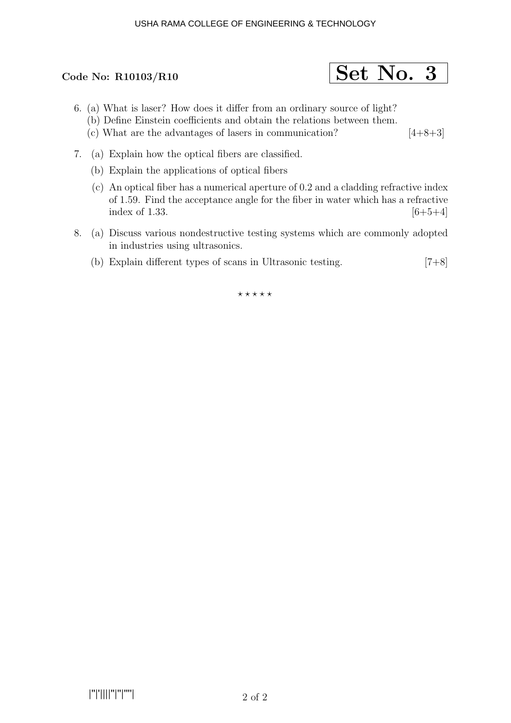# Code No: R10103/R10  $\boxed{\text{Set No. 3}}$

- 6. (a) What is laser? How does it differ from an ordinary source of light?
	- (b) Define Einstein coefficients and obtain the relations between them.
	- (c) What are the advantages of lasers in communication?  $[4+8+3]$
- 7. (a) Explain how the optical fibers are classified.
	- (b) Explain the applications of optical fibers
	- (c) An optical fiber has a numerical aperture of 0.2 and a cladding refractive index of 1.59. Find the acceptance angle for the fiber in water which has a refractive index of 1.33.  $[6+5+4]$
- 8. (a) Discuss various nondestructive testing systems which are commonly adopted in industries using ultrasonics.
	- (b) Explain different types of scans in Ultrasonic testing.  $[7+8]$

 $***$ \*\*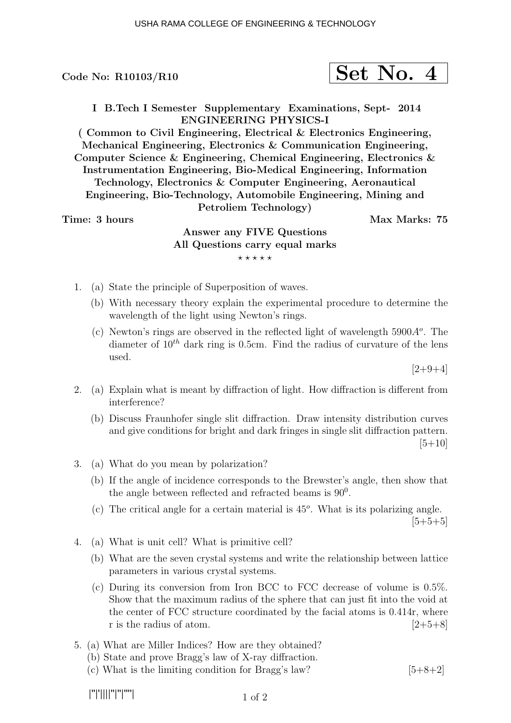Code No:  $R10103/R10$ 

$$
\fbox{Set No. 4}
$$

I B.Tech I Semester Supplementary Examinations, Sept- 2014 ENGINEERING PHYSICS-I

( Common to Civil Engineering, Electrical & Electronics Engineering, Mechanical Engineering, Electronics & Communication Engineering, Computer Science & Engineering, Chemical Engineering, Electronics & Instrumentation Engineering, Bio-Medical Engineering, Information Technology, Electronics & Computer Engineering, Aeronautical Engineering, Bio-Technology, Automobile Engineering, Mining and Petroliem Technology)

Time: 3 hours and the set of the Max Marks: 75

# Answer any FIVE Questions All Questions carry equal marks  $***$ \*\*

- 1. (a) State the principle of Superposition of waves.
	- (b) With necessary theory explain the experimental procedure to determine the wavelength of the light using Newton's rings.
	- (c) Newton's rings are observed in the reflected light of wavelength  $5900A<sup>o</sup>$ . The diameter of  $10^{th}$  dark ring is 0.5cm. Find the radius of curvature of the lens used.

 $[2+9+4]$ 

- 2. (a) Explain what is meant by diffraction of light. How diffraction is different from interference?
	- (b) Discuss Fraunhofer single slit diffraction. Draw intensity distribution curves and give conditions for bright and dark fringes in single slit diffraction pattern.  $[5+10]$
- 3. (a) What do you mean by polarization?
	- (b) If the angle of incidence corresponds to the Brewster's angle, then show that the angle between reflected and refracted beams is  $90^0$ .
	- (c) The critical angle for a certain material is  $45^{\circ}$ . What is its polarizing angle.  $[5+5+5]$
- 4. (a) What is unit cell? What is primitive cell?
	- (b) What are the seven crystal systems and write the relationship between lattice parameters in various crystal systems.
	- (c) During its conversion from Iron BCC to FCC decrease of volume is 0.5%. Show that the maximum radius of the sphere that can just fit into the void at the center of FCC structure coordinated by the facial atoms is 0.414r, where r is the radius of atom.  $[2+5+8]$
- 5. (a) What are Miller Indices? How are they obtained?
	- (b) State and prove Bragg's law of X-ray diffraction.
	- (c) What is the limiting condition for Bragg's law?  $[5+8+2]$